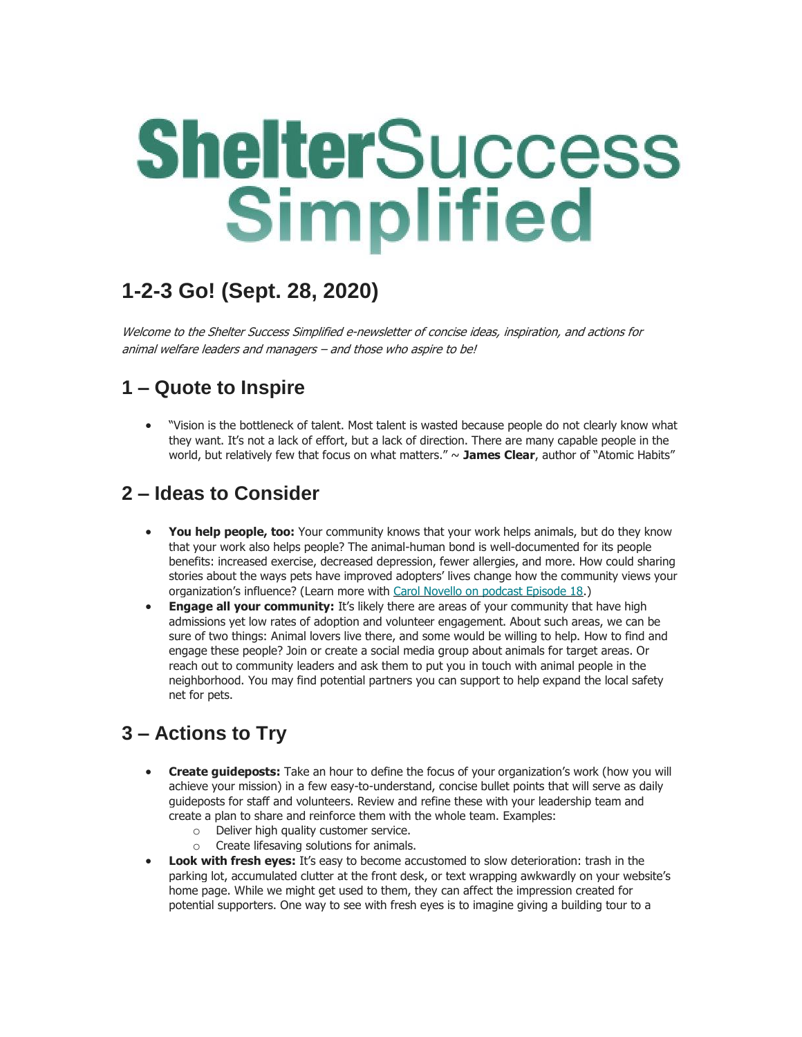# **ShelterSuccess** Simplified

## **1-2-3 Go! (Sept. 28, 2020)**

Welcome to the Shelter Success Simplified e-newsletter of concise ideas, inspiration, and actions for animal welfare leaders and managers – and those who aspire to be!

#### **1 – Quote to Inspire**

• "Vision is the bottleneck of talent. Most talent is wasted because people do not clearly know what they want. It's not a lack of effort, but a lack of direction. There are many capable people in the world, but relatively few that focus on what matters." ~ **James Clear**, author of "Atomic Habits"

#### **2 – Ideas to Consider**

- **You help people, too:** Your community knows that your work helps animals, but do they know that your work also helps people? The animal-human bond is well-documented for its people benefits: increased exercise, decreased depression, fewer allergies, and more. How could sharing stories about the ways pets have improved adopters' lives change how the community views your organization's influence? (Learn more with [Carol Novello on podcast Episode 18.](https://humanenetwork.us11.list-manage.com/track/click?u=dfa1d28456c119dd1d7d75735&id=950c81a793&e=ed9b029c42))
- **Engage all your community:** It's likely there are areas of your community that have high admissions yet low rates of adoption and volunteer engagement. About such areas, we can be sure of two things: Animal lovers live there, and some would be willing to help. How to find and engage these people? Join or create a social media group about animals for target areas. Or reach out to community leaders and ask them to put you in touch with animal people in the neighborhood. You may find potential partners you can support to help expand the local safety net for pets.

### **3 – Actions to Try**

- **Create guideposts:** Take an hour to define the focus of your organization's work (how you will achieve your mission) in a few easy-to-understand, concise bullet points that will serve as daily guideposts for staff and volunteers. Review and refine these with your leadership team and create a plan to share and reinforce them with the whole team. Examples:
	- o Deliver high quality customer service.
	- o Create lifesaving solutions for animals.
- **Look with fresh eyes:** It's easy to become accustomed to slow deterioration: trash in the parking lot, accumulated clutter at the front desk, or text wrapping awkwardly on your website's home page. While we might get used to them, they can affect the impression created for potential supporters. One way to see with fresh eyes is to imagine giving a building tour to a